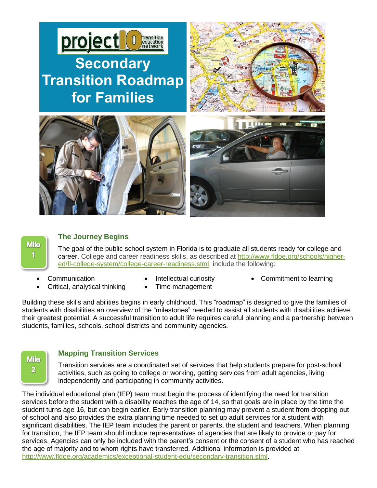

# **Mile**  $\overline{\mathbf{1}}$

### **The Journey Begins**

The goal of the public school system in Florida is to graduate all students ready for college and career. College and career readiness skills, as described at [http://www.fldoe.org/schools/higher](http://www.fldoe.org/schools/higher-ed/fl-college-system/college-career-readiness.stml)[ed/fl-college-system/college-career-readiness.stml,](http://www.fldoe.org/schools/higher-ed/fl-college-system/college-career-readiness.stml) include the following:

- 
- Communication **Communication Intellectual curiosity Commitment to learning**

Building these skills and abilities begins in early childhood. This "roadmap" is designed to give the families of students with disabilities an overview of the "milestones" needed to assist all students with disabilities achieve their greatest potential. A successful transition to adult life requires careful planning and a partnership between students, families, schools, school districts and community agencies.



## **Mapping Transition Services**

Critical, analytical thinking • Time management

Transition services are a coordinated set of services that help students prepare for post-school activities, such as going to college or working, getting services from adult agencies, living independently and participating in community activities.

The individual educational plan (IEP) team must begin the process of identifying the need for transition services before the student with a disability reaches the age of 14, so that goals are in place by the time the student turns age 16, but can begin earlier. Early transition planning may prevent a student from dropping out of school and also provides the extra planning time needed to set up adult services for a student with significant disabilities. The IEP team includes the parent or parents, the student and teachers. When planning for transition, the IEP team should include representatives of agencies that are likely to provide or pay for services. Agencies can only be included with the parent's consent or the consent of a student who has reached the age of majority and to whom rights have transferred. Additional information is provided at [http://www.fldoe.org/academics/exceptional-student-edu/secondary-transition.stml.](http://www.fldoe.org/academics/exceptional-student-edu/secondary-transition.stml)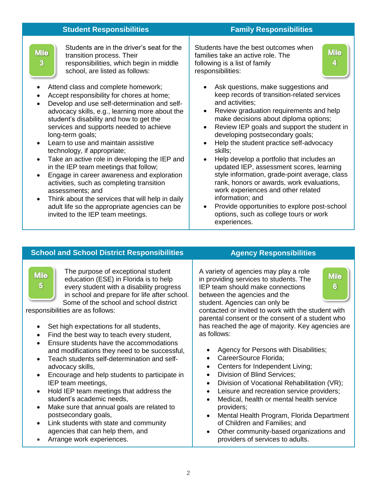| <b>Student Responsibilities</b>     |                                                                                                                                                                                                                                                                                                                                                                                                                                                                                                                                                                                                                                 | <b>Family Responsibilities</b>                                                                                                                                                                                                                                                                                                                                                                                                                                                                                                                                                                  |  |
|-------------------------------------|---------------------------------------------------------------------------------------------------------------------------------------------------------------------------------------------------------------------------------------------------------------------------------------------------------------------------------------------------------------------------------------------------------------------------------------------------------------------------------------------------------------------------------------------------------------------------------------------------------------------------------|-------------------------------------------------------------------------------------------------------------------------------------------------------------------------------------------------------------------------------------------------------------------------------------------------------------------------------------------------------------------------------------------------------------------------------------------------------------------------------------------------------------------------------------------------------------------------------------------------|--|
| <b>Mile</b><br>$\overline{3}$       | Students are in the driver's seat for the<br>transition process. Their<br>responsibilities, which begin in middle<br>school, are listed as follows:                                                                                                                                                                                                                                                                                                                                                                                                                                                                             | Students have the best outcomes when<br><b>Mile</b><br>families take an active role. The<br>4<br>following is a list of family<br>responsibilities:                                                                                                                                                                                                                                                                                                                                                                                                                                             |  |
| $\bullet$<br>$\bullet$<br>$\bullet$ | Attend class and complete homework;<br>Accept responsibility for chores at home;<br>Develop and use self-determination and self-<br>advocacy skills, e.g., learning more about the<br>student's disability and how to get the<br>services and supports needed to achieve<br>long-term goals;<br>Learn to use and maintain assistive<br>technology, if appropriate;<br>Take an active role in developing the IEP and<br>in the IEP team meetings that follow;<br>Engage in career awareness and exploration<br>activities, such as completing transition<br>assessments; and<br>Think about the services that will help in daily | Ask questions, make suggestions and<br>keep records of transition-related services<br>and activities;<br>Review graduation requirements and help<br>$\bullet$<br>make decisions about diploma options;<br>Review IEP goals and support the student in<br>developing postsecondary goals;<br>Help the student practice self-advocacy<br>skills;<br>Help develop a portfolio that includes an<br>updated IEP, assessment scores, learning<br>style information, grade-point average, class<br>rank, honors or awards, work evaluations,<br>work experiences and other related<br>information; and |  |
|                                     | adult life so the appropriate agencies can be<br>invited to the IEP team meetings.                                                                                                                                                                                                                                                                                                                                                                                                                                                                                                                                              | Provide opportunities to explore post-school<br>options, such as college tours or work                                                                                                                                                                                                                                                                                                                                                                                                                                                                                                          |  |

## **School and School District Responsibilities <b>Agency Responsibilities**

**Mile**  $5^{\circ}$ 

The purpose of exceptional student education (ESE) in Florida is to help every student with a disability progress in school and prepare for life after school. Some of the school and school district

responsibilities are as follows:

- Set high expectations for all students,
- Find the best way to teach every student,
- Ensure students have the accommodations and modifications they need to be successful,
- Teach students self-determination and selfadvocacy skills,
- Encourage and help students to participate in IEP team meetings,
- Hold IEP team meetings that address the student's academic needs,
- Make sure that annual goals are related to postsecondary goals,
- Link students with state and community agencies that can help them, and
- Arrange work experiences.

A variety of agencies may play a role in providing services to students. The IEP team should make connections between the agencies and the student. Agencies can only be

experiences.

**Mile**  $6<sup>°</sup>$ 

contacted or invited to work with the student with parental consent or the consent of a student who has reached the age of majority. Key agencies are as follows:

- Agency for Persons with Disabilities;
- CareerSource Florida;
- Centers for Independent Living;
- Division of Blind Services;
- Division of Vocational Rehabilitation (VR);
- Leisure and recreation service providers;
- Medical, health or mental health service providers;
- Mental Health Program, Florida Department of Children and Families; and
- Other community-based organizations and providers of services to adults.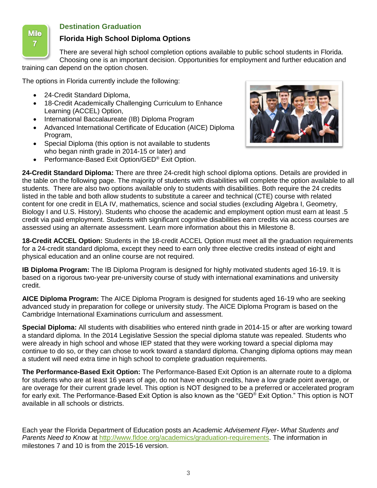

## **Destination Graduation**

## **Florida High School Diploma Options**

There are several high school completion options available to public school students in Florida. Choosing one is an important decision. Opportunities for employment and further education and training can depend on the option chosen.

The options in Florida currently include the following:

- 24-Credit Standard Diploma,
- 18-Credit Academically Challenging Curriculum to Enhance Learning (ACCEL) Option,
- International Baccalaureate (IB) Diploma Program
- Advanced International Certificate of Education (AICE) Diploma Program,
- Special Diploma (this option is not available to students who began ninth grade in 2014-15 or later) and
- Performance-Based Exit Option/GED<sup>®</sup> Exit Option.



**24-Credit Standard Diploma:** There are three 24-credit high school diploma options. Details are provided in the table on the following page. The majority of students with disabilities will complete the option available to all students. There are also two options available only to students with disabilities. Both require the 24 credits listed in the table and both allow students to substitute a career and technical (CTE) course with related content for one credit in ELA IV, mathematics, science and social studies (excluding Algebra I, Geometry, Biology I and U.S. History). Students who choose the academic and employment option must earn at least .5 credit via paid employment. Students with significant cognitive disabilities earn credits via access courses are assessed using an alternate assessment. Learn more information about this in Milestone 8.

**18-Credit ACCEL Option:** Students in the 18-credit ACCEL Option must meet all the graduation requirements for a 24-credit standard diploma, except they need to earn only three elective credits instead of eight and physical education and an online course are not required.

**IB Diploma Program:** The IB Diploma Program is designed for highly motivated students aged 16-19. It is based on a rigorous two-year pre-university course of study with international examinations and university credit.

**AICE Diploma Program:** The AICE Diploma Program is designed for students aged 16-19 who are seeking advanced study in preparation for college or university study. The AICE Diploma Program is based on the Cambridge International Examinations curriculum and assessment.

**Special Diploma:** All students with disabilities who entered ninth grade in 2014-15 or after are working toward a standard diploma. In the 2014 Legislative Session the special diploma statute was repealed. Students who were already in high school and whose IEP stated that they were working toward a special diploma may continue to do so, or they can chose to work toward a standard diploma. Changing diploma options may mean a student will need extra time in high school to complete graduation requirements.

**The Performance-Based Exit Option:** The Performance-Based Exit Option is an alternate route to a diploma for students who are at least 16 years of age, do not have enough credits, have a low grade point average, or are overage for their current grade level. This option is NOT designed to be a preferred or accelerated program for early exit. The Performance-Based Exit Option is also known as the "GED® Exit Option." This option is NOT available in all schools or districts.

Each year the Florida Department of Education posts an A*cademic Advisement Flyer- What Students and Parents Need to Know* at [http://www.fldoe.org/academics/graduation-requirements.](http://www.fldoe.org/academics/graduation-requirements) The information in milestones 7 and 10 is from the 2015-16 version.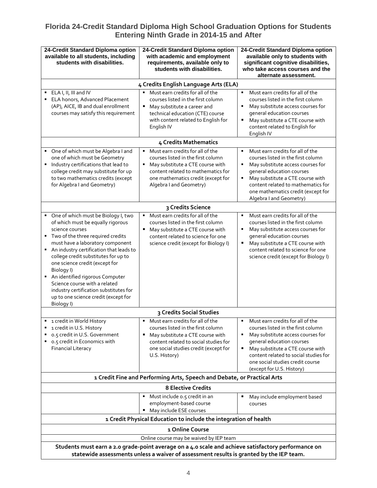## **Florida 24-Credit Standard Diploma High School Graduation Options for Students Entering Ninth Grade in 2014-15 and After**

| 24-Credit Standard Diploma option<br>available to all students, including<br>students with disabilities.                                                                                                                                                                                                                                                                                                                                                                                  | 24-Credit Standard Diploma option<br>with academic and employment<br>requirements, available only to<br>students with disabilities.                                                                                                   | 24-Credit Standard Diploma option<br>available only to students with<br>significant cognitive disabilities,<br>who take access courses and the<br>alternate assessment.                                                                                                                               |  |  |
|-------------------------------------------------------------------------------------------------------------------------------------------------------------------------------------------------------------------------------------------------------------------------------------------------------------------------------------------------------------------------------------------------------------------------------------------------------------------------------------------|---------------------------------------------------------------------------------------------------------------------------------------------------------------------------------------------------------------------------------------|-------------------------------------------------------------------------------------------------------------------------------------------------------------------------------------------------------------------------------------------------------------------------------------------------------|--|--|
| 4 Credits English Language Arts (ELA)                                                                                                                                                                                                                                                                                                                                                                                                                                                     |                                                                                                                                                                                                                                       |                                                                                                                                                                                                                                                                                                       |  |  |
| ELA I, II, III and IV<br>ELA honors, Advanced Placement<br>(AP), AICE, IB and dual enrollment<br>courses may satisfy this requirement                                                                                                                                                                                                                                                                                                                                                     | Must earn credits for all of the<br>courses listed in the first column<br>May substitute a career and<br>٠<br>technical education (CTE) course<br>with content related to English for<br>English IV                                   | Must earn credits for all of the<br>courses listed in the first column<br>May substitute access courses for<br>٠<br>general education courses<br>May substitute a CTE course with<br>content related to English for<br>English IV                                                                     |  |  |
| 4 Credits Mathematics                                                                                                                                                                                                                                                                                                                                                                                                                                                                     |                                                                                                                                                                                                                                       |                                                                                                                                                                                                                                                                                                       |  |  |
| • One of which must be Algebra I and<br>one of which must be Geometry<br>Industry certifications that lead to<br>٠<br>college credit may substitute for up<br>to two mathematics credits (except<br>for Algebra I and Geometry)                                                                                                                                                                                                                                                           | " Must earn credits for all of the<br>courses listed in the first column<br>May substitute a CTE course with<br>$\blacksquare$<br>content related to mathematics for<br>one mathematics credit (except for<br>Algebra I and Geometry) | Must earn credits for all of the<br>$\blacksquare$<br>courses listed in the first column<br>May substitute access courses for<br>general education courses<br>May substitute a CTE course with<br>content related to mathematics for<br>one mathematics credit (except for<br>Algebra I and Geometry) |  |  |
| 3 Credits Science                                                                                                                                                                                                                                                                                                                                                                                                                                                                         |                                                                                                                                                                                                                                       |                                                                                                                                                                                                                                                                                                       |  |  |
| • One of which must be Biology I, two<br>of which must be equally rigorous<br>science courses<br>" Two of the three required credits<br>must have a laboratory component<br>An industry certification that leads to<br>٠<br>college credit substitutes for up to<br>one science credit (except for<br>Biology I)<br>An identified rigorous Computer<br>٠<br>Science course with a related<br>industry certification substitutes for<br>up to one science credit (except for<br>Biology I) | Must earn credits for all of the<br>$\blacksquare$<br>courses listed in the first column<br>May substitute a CTE course with<br>٠<br>content related to science for one<br>science credit (except for Biology I)                      | Must earn credits for all of the<br>courses listed in the first column<br>May substitute access courses for<br>general education courses<br>May substitute a CTE course with<br>٠<br>content related to science for one<br>science credit (except for Biology I)                                      |  |  |
|                                                                                                                                                                                                                                                                                                                                                                                                                                                                                           | 3 Credits Social Studies                                                                                                                                                                                                              |                                                                                                                                                                                                                                                                                                       |  |  |
| 1 credit in World History<br>1 credit in U.S. History<br>0.5 credit in U.S. Government<br>0.5 credit in Economics with<br>٠<br><b>Financial Literacy</b>                                                                                                                                                                                                                                                                                                                                  | Must earn credits for all of the<br>courses listed in the first column<br>" May substitute a CTE course with<br>content related to social studies for<br>one social studies credit (except for<br>U.S. History)                       | Must earn credits for all of the<br>courses listed in the first column<br>May substitute access courses for<br>general education courses<br>May substitute a CTE course with<br>٠<br>content related to social studies for<br>one social studies credit course<br>(except for U.S. History)           |  |  |
| 1 Credit Fine and Performing Arts, Speech and Debate, or Practical Arts                                                                                                                                                                                                                                                                                                                                                                                                                   |                                                                                                                                                                                                                                       |                                                                                                                                                                                                                                                                                                       |  |  |
| <b>8 Elective Credits</b>                                                                                                                                                                                                                                                                                                                                                                                                                                                                 |                                                                                                                                                                                                                                       |                                                                                                                                                                                                                                                                                                       |  |  |
|                                                                                                                                                                                                                                                                                                                                                                                                                                                                                           | Must include 0.5 credit in an<br>employment-based course<br>" May include ESE courses                                                                                                                                                 | May include employment based<br>courses                                                                                                                                                                                                                                                               |  |  |
| 1 Credit Physical Education to include the integration of health                                                                                                                                                                                                                                                                                                                                                                                                                          |                                                                                                                                                                                                                                       |                                                                                                                                                                                                                                                                                                       |  |  |
| 1 Online Course<br>Online course may be waived by IEP team                                                                                                                                                                                                                                                                                                                                                                                                                                |                                                                                                                                                                                                                                       |                                                                                                                                                                                                                                                                                                       |  |  |
| Students must earn a 2.0 grade-point average on a 4.0 scale and achieve satisfactory performance on<br>statewide assessments unless a waiver of assessment results is granted by the IEP team.                                                                                                                                                                                                                                                                                            |                                                                                                                                                                                                                                       |                                                                                                                                                                                                                                                                                                       |  |  |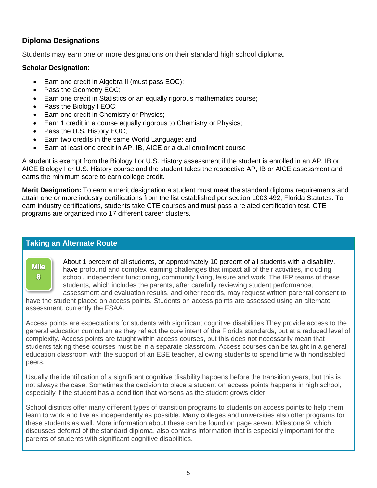## **Diploma Designations**

Students may earn one or more designations on their standard high school diploma.

#### **Scholar Designation**:

- Earn one credit in Algebra II (must pass EOC);
- Pass the Geometry EOC;
- Earn one credit in Statistics or an equally rigorous mathematics course;
- Pass the Biology I EOC;
- Earn one credit in Chemistry or Physics;
- Earn 1 credit in a course equally rigorous to Chemistry or Physics;
- Pass the U.S. History EOC;
- Earn two credits in the same World Language; and
- Earn at least one credit in AP, IB, AICE or a dual enrollment course

A student is exempt from the Biology I or U.S. History assessment if the student is enrolled in an AP, IB or AICE Biology I or U.S. History course and the student takes the respective AP, IB or AICE assessment and earns the minimum score to earn college credit.

**Merit Designation:** To earn a merit designation a student must meet the standard diploma requirements and attain one or more industry certifications from the list established per section 1003.492, Florida Statutes. To earn industry certifications, students take CTE courses and must pass a related certification test. CTE programs are organized into 17 different career clusters.

#### **Taking an Alternate Route**

**Mile** 8

About 1 percent of all students, or approximately 10 percent of all students with a disability, have profound and complex learning challenges that impact all of their activities, including school, independent functioning, community living, leisure and work. The IEP teams of these students, which includes the parents, after carefully reviewing student performance, assessment and evaluation results, and other records, may request written parental consent to

have the student placed on access points. Students on access points are assessed using an alternate assessment, currently the FSAA.

Access points are expectations for students with significant cognitive disabilities They provide access to the general education curriculum as they reflect the core intent of the Florida standards, but at a reduced level of complexity. Access points are taught within access courses, but this does not necessarily mean that students taking these courses must be in a separate classroom. Access courses can be taught in a general education classroom with the support of an ESE teacher, allowing students to spend time with nondisabled peers.

Usually the identification of a significant cognitive disability happens before the transition years, but this is not always the case. Sometimes the decision to place a student on access points happens in high school, especially if the student has a condition that worsens as the student grows older.

School districts offer many different types of transition programs to students on access points to help them learn to work and live as independently as possible. Many colleges and universities also offer programs for these students as well. More information about these can be found on page seven. Milestone 9, which discusses deferral of the standard diploma, also contains information that is especially important for the parents of students with significant cognitive disabilities.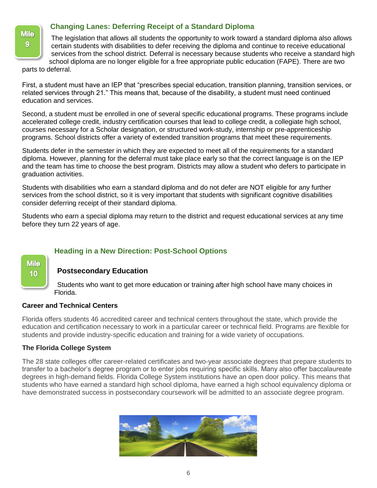

## **Changing Lanes: Deferring Receipt of a Standard Diploma**

The legislation that allows all students the opportunity to work toward a standard diploma also allows certain students with disabilities to defer receiving the diploma and continue to receive educational services from the school district. Deferral is necessary because students who receive a standard high school diploma are no longer eligible for a free appropriate public education (FAPE). There are two

parts to deferral.

First, a student must have an IEP that "prescribes special education, transition planning, transition services, or related services through 21." This means that, because of the disability, a student must need continued education and services.

Second, a student must be enrolled in one of several specific educational programs. These programs include accelerated college credit, industry certification courses that lead to college credit, a collegiate high school, courses necessary for a Scholar designation, or structured work-study, internship or pre-apprenticeship programs. School districts offer a variety of extended transition programs that meet these requirements.

Students defer in the semester in which they are expected to meet all of the requirements for a standard diploma. However, planning for the deferral must take place early so that the correct language is on the IEP and the team has time to choose the best program. Districts may allow a student who defers to participate in graduation activities.

Students with disabilities who earn a standard diploma and do not defer are NOT eligible for any further services from the school district, so it is very important that students with significant cognitive disabilities consider deferring receipt of their standard diploma.

Students who earn a special diploma may return to the district and request educational services at any time before they turn 22 years of age.

## **Heading in a New Direction: Post-School Options**

## **Postsecondary Education**

Students who want to get more education or training after high school have many choices in Florida.

#### **Career and Technical Centers**

**Mile** 10

Florida offers students 46 accredited career and technical centers throughout the state, which provide the education and certification necessary to work in a particular career or technical field. Programs are flexible for students and provide industry-specific education and training for a wide variety of occupations.

#### **The Florida College System**

The 28 state colleges offer career-related certificates and two-year associate degrees that prepare students to transfer to a bachelor's degree program or to enter jobs requiring specific skills. Many also offer baccalaureate degrees in high-demand fields. Florida College System institutions have an open door policy. This means that students who have earned a standard high school diploma, have earned a high school equivalency diploma or have demonstrated success in postsecondary coursework will be admitted to an associate degree program.

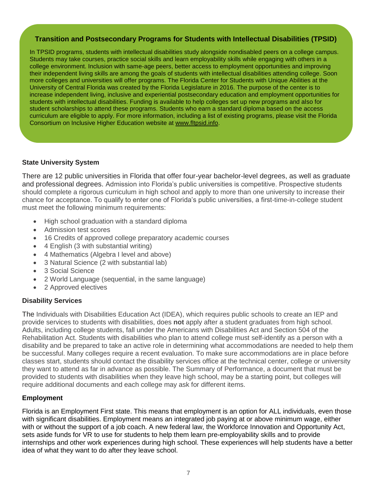#### **Transition and Postsecondary Programs for Students with Intellectual Disabilities (TPSID)**

In TPSID programs, students with intellectual disabilities study alongside nondisabled peers on a college campus. Students may take courses, practice social skills and learn employability skills while engaging with others in a college environment. Inclusion with same-age peers, better access to employment opportunities and improving their independent living skills are among the goals of students with intellectual disabilities attending college. Soon more colleges and universities will offer programs. The Florida Center for Students with Unique Abilities at the University of Central Florida was created by the Florida Legislature in 2016. The purpose of the center is to increase independent living, inclusive and experiential postsecondary education and employment opportunities for students with intellectual disabilities. Funding is available to help colleges set up new programs and also for student scholarships to attend these programs. Students who earn a standard diploma based on the access curriculum are eligible to apply. For more information, including a list of existing programs, please visit the Florida Consortium on Inclusive Higher Education website at [www.fltpsid.info.](file:///C:/Users/Judy/Downloads/www.fltpsid.info)

### **State University System**

There are 12 public universities in Florida that offer four-year bachelor-level degrees, as well as graduate and professional degrees. Admission into Florida's public universities is competitive. Prospective students should complete a rigorous curriculum in high school and apply to more than one university to increase their chance for acceptance. To qualify to enter one of Florida's public universities, a first-time-in-college student must meet the following minimum requirements:

- High school graduation with a standard diploma
- Admission test scores
- 16 Credits of approved college preparatory academic courses
- 4 English (3 with substantial writing)
- 4 Mathematics (Algebra I level and above)
- 3 Natural Science (2 with substantial lab)
- 3 Social Science
- 2 World Language (sequential, in the same language)
- 2 Approved electives

## **Disability Services**

The Individuals with Disabilities Education Act (IDEA), which requires public schools to create an IEP and provide services to students with disabilities, does **not** apply after a student graduates from high school. Adults, including college students, fall under the Americans with Disabilities Act and Section 504 of the Rehabilitation Act. Students with disabilities who plan to attend college must self-identify as a person with a disability and be prepared to take an active role in determining what accommodations are needed to help them be successful. Many colleges require a recent evaluation. To make sure accommodations are in place before classes start, students should contact the disability services office at the technical center, college or university they want to attend as far in advance as possible. The Summary of Performance, a document that must be provided to students with disabilities when they leave high school, may be a starting point, but colleges will require additional documents and each college may ask for different items.

## **Employment**

Florida is an Employment First state. This means that employment is an option for ALL individuals, even those with significant disabilities. Employment means an integrated job paying at or above minimum wage, either with or without the support of a job coach. A new federal law, the Workforce Innovation and Opportunity Act, sets aside funds for VR to use for students to help them learn pre-employability skills and to provide internships and other work experiences during high school. These experiences will help students have a better idea of what they want to do after they leave school.